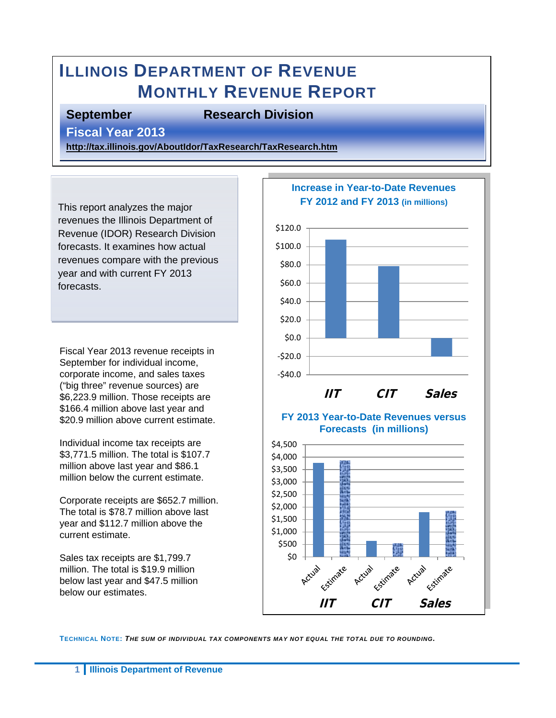# **ILLINOIS DEPARTMENT OF REVENUE MONTHLY REVENUE REPORT**

#### **September Research Division**

**Fiscal Year 2013** 

**<http://tax.illinois.gov/AboutIdor/TaxResearch/TaxResearch.htm>**

This report analyzes the major revenues the Illinois Department of Revenue (IDOR) Research Division forecasts. It examines how actual revenues compare with the previous year and with current FY 2013 forecasts.

Fiscal Year 2013 revenue receipts in September for individual income, corporate income, and sales taxes ("big three" revenue sources) are \$6,223.9 million. Those receipts are \$166.4 million above last year and \$20.9 million above current estimate.

Individual income tax receipts are \$3,771.5 million. The total is \$107.7 million above last year and \$86.1 million below the current estimate.

Corporate receipts are \$652.7 million. The total is \$78.7 million above last year and \$112.7 million above the current estimate.

Sales tax receipts are \$1,799.7 million. The total is \$19.9 million below last year and \$47.5 million below our estimates.



**TECHNICAL NOTE:** *THE SUM OF INDIVIDUAL TAX COMPONENTS MAY NOT EQUAL THE TOTAL DUE TO ROUNDING.*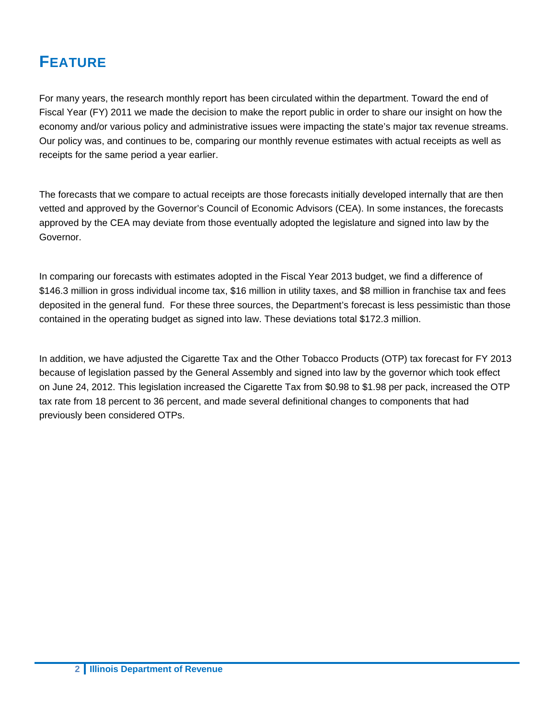## **FEATURE**

For many years, the research monthly report has been circulated within the department. Toward the end of Fiscal Year (FY) 2011 we made the decision to make the report public in order to share our insight on how the economy and/or various policy and administrative issues were impacting the state's major tax revenue streams. Our policy was, and continues to be, comparing our monthly revenue estimates with actual receipts as well as receipts for the same period a year earlier.

The forecasts that we compare to actual receipts are those forecasts initially developed internally that are then vetted and approved by the Governor's Council of Economic Advisors (CEA). In some instances, the forecasts approved by the CEA may deviate from those eventually adopted the legislature and signed into law by the Governor.

In comparing our forecasts with estimates adopted in the Fiscal Year 2013 budget, we find a difference of \$146.3 million in gross individual income tax, \$16 million in utility taxes, and \$8 million in franchise tax and fees deposited in the general fund. For these three sources, the Department's forecast is less pessimistic than those contained in the operating budget as signed into law. These deviations total \$172.3 million.

In addition, we have adjusted the Cigarette Tax and the Other Tobacco Products (OTP) tax forecast for FY 2013 because of legislation passed by the General Assembly and signed into law by the governor which took effect on June 24, 2012. This legislation increased the Cigarette Tax from \$0.98 to \$1.98 per pack, increased the OTP tax rate from 18 percent to 36 percent, and made several definitional changes to components that had previously been considered OTPs.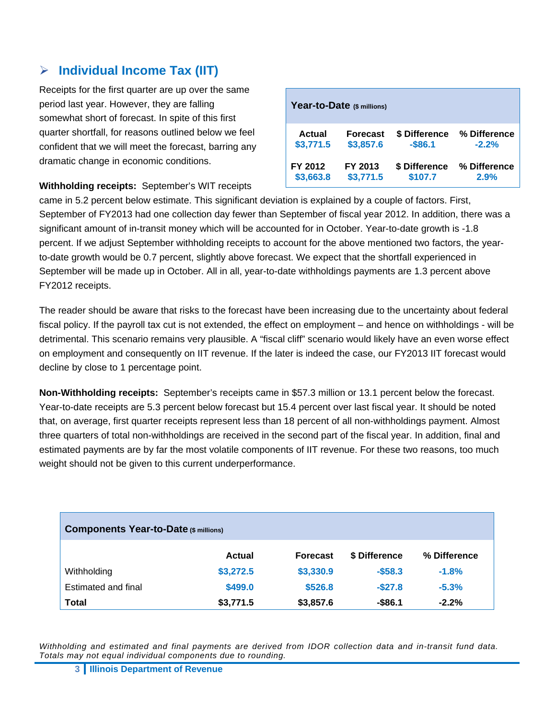#### **Individual Income Tax (IIT)**

Receipts for the first quarter are up over the same period last year. However, they are falling somewhat short of forecast. In spite of this first quarter shortfall, for reasons outlined below we feel confident that we will meet the forecast, barring any dramatic change in economic conditions.

|               | Year-to-Date (\$ millions) |               |              |
|---------------|----------------------------|---------------|--------------|
| <b>Actual</b> | <b>Forecast</b>            | \$ Difference | % Difference |
| \$3,771.5     | \$3,857.6                  | $-$ \$86.1    | $-2.2%$      |
| FY 2012       | FY 2013                    | \$ Difference | % Difference |
| \$3,663.8     | \$3,771.5                  | \$107.7       | 2.9%         |

#### **Withholding receipts:** September's WIT receipts

came in 5.2 percent below estimate. This significant deviation is explained by a couple of factors. First, September of FY2013 had one collection day fewer than September of fiscal year 2012. In addition, there was a significant amount of in-transit money which will be accounted for in October. Year-to-date growth is -1.8 percent. If we adjust September withholding receipts to account for the above mentioned two factors, the yearto-date growth would be 0.7 percent, slightly above forecast. We expect that the shortfall experienced in September will be made up in October. All in all, year-to-date withholdings payments are 1.3 percent above FY2012 receipts.

The reader should be aware that risks to the forecast have been increasing due to the uncertainty about federal fiscal policy. If the payroll tax cut is not extended, the effect on employment – and hence on withholdings - will be detrimental. This scenario remains very plausible. A "fiscal cliff" scenario would likely have an even worse effect on employment and consequently on IIT revenue. If the later is indeed the case, our FY2013 IIT forecast would decline by close to 1 percentage point.

**Non-Withholding receipts:** September's receipts came in \$57.3 million or 13.1 percent below the forecast. Year-to-date receipts are 5.3 percent below forecast but 15.4 percent over last fiscal year. It should be noted that, on average, first quarter receipts represent less than 18 percent of all non-withholdings payment. Almost three quarters of total non-withholdings are received in the second part of the fiscal year. In addition, final and estimated payments are by far the most volatile components of IIT revenue. For these two reasons, too much weight should not be given to this current underperformance.

| <b>Components Year-to-Date (\$ millions)</b> |               |                 |               |              |  |
|----------------------------------------------|---------------|-----------------|---------------|--------------|--|
|                                              | <b>Actual</b> | <b>Forecast</b> | \$ Difference | % Difference |  |
| Withholding                                  | \$3,272.5     | \$3,330.9       | $-$58.3$      | $-1.8%$      |  |
| Estimated and final                          | \$499.0       | \$526.8         | $-$ \$27.8    | $-5.3%$      |  |
| Total                                        | \$3,771.5     | \$3,857.6       | $-$ \$86.1    | $-2.2%$      |  |

*Withholding and estimated and final payments are derived from IDOR collection data and in-transit fund data. Totals may not equal individual components due to rounding.*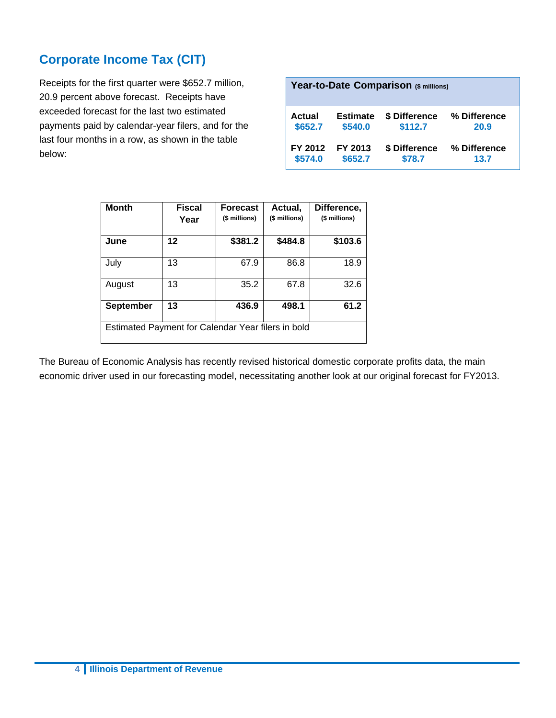#### **Corporate Income Tax (CIT)**

Receipts for the first quarter were \$652.7 million, 20.9 percent above forecast. Receipts have exceeded forecast for the last two estimated payments paid by calendar-year filers, and for the last four months in a row, as shown in the table below:

| Year-to-Date Comparison (\$ millions)                                                       |                            |                          |                      |  |  |  |
|---------------------------------------------------------------------------------------------|----------------------------|--------------------------|----------------------|--|--|--|
| Actual<br>\$652.7                                                                           | <b>Estimate</b><br>\$540.0 | \$ Difference<br>\$112.7 | % Difference<br>20.9 |  |  |  |
| \$ Difference<br>% Difference<br>FY 2012<br>FY 2013<br>\$78.7<br>\$652.7<br>\$574.0<br>13.7 |                            |                          |                      |  |  |  |

| <b>Month</b>                                       | <b>Fiscal</b><br>Year | <b>Forecast</b><br>(\$ millions) | Actual,<br>(\$ millions) | Difference,<br>(\$ millions) |
|----------------------------------------------------|-----------------------|----------------------------------|--------------------------|------------------------------|
| June                                               | 12                    | \$381.2                          | \$484.8                  | \$103.6                      |
| July                                               | 13                    | 67.9                             | 86.8                     | 18.9                         |
| August                                             | 13                    | 35.2                             | 67.8                     | 32.6                         |
| <b>September</b>                                   | 13                    | 436.9                            | 498.1                    | 61.2                         |
| Estimated Payment for Calendar Year filers in bold |                       |                                  |                          |                              |

The Bureau of Economic Analysis has recently revised historical domestic corporate profits data, the main economic driver used in our forecasting model, necessitating another look at our original forecast for FY2013.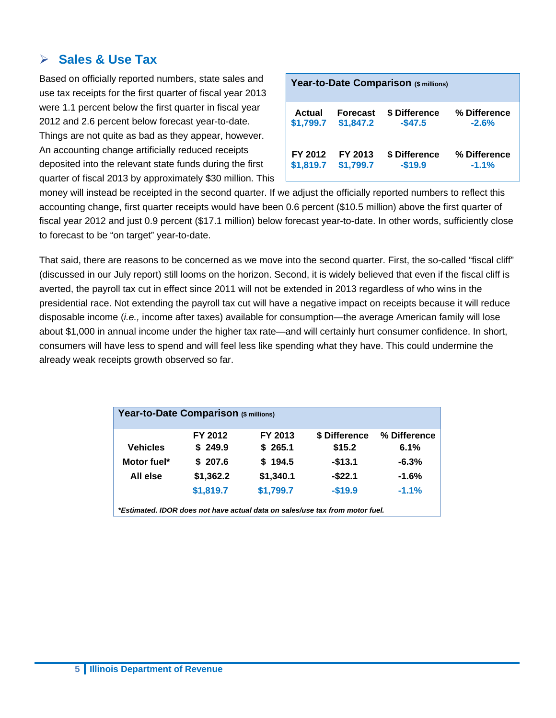#### **Sales & Use Tax**

Based on officially reported numbers, state sales and use tax receipts for the first quarter of fiscal year 2013 were 1.1 percent below the first quarter in fiscal year 2012 and 2.6 percent below forecast year-to-date. Things are not quite as bad as they appear, however. An accounting change artificially reduced receipts deposited into the relevant state funds during the first quarter of fiscal 2013 by approximately \$30 million. This

| Year-to-Date Comparison (\$ millions) |                 |               |              |  |  |
|---------------------------------------|-----------------|---------------|--------------|--|--|
| Actual                                | <b>Forecast</b> | \$ Difference | % Difference |  |  |
| \$1,799.7                             | \$1,847.2       | $-$47.5$      | $-2.6%$      |  |  |
| FY 2012                               | FY 2013         | \$ Difference | % Difference |  |  |
| \$1,819.7                             | \$1,799.7       | $-$19.9$      | $-1.1%$      |  |  |

money will instead be receipted in the second quarter. If we adjust the officially reported numbers to reflect this accounting change, first quarter receipts would have been 0.6 percent (\$10.5 million) above the first quarter of fiscal year 2012 and just 0.9 percent (\$17.1 million) below forecast year-to-date. In other words, sufficiently close to forecast to be "on target" year-to-date.

That said, there are reasons to be concerned as we move into the second quarter. First, the so-called "fiscal cliff" (discussed in our July report) still looms on the horizon. Second, it is widely believed that even if the fiscal cliff is averted, the payroll tax cut in effect since 2011 will not be extended in 2013 regardless of who wins in the presidential race. Not extending the payroll tax cut will have a negative impact on receipts because it will reduce disposable income (*i.e.,* income after taxes) available for consumption—the average American family will lose about \$1,000 in annual income under the higher tax rate—and will certainly hurt consumer confidence. In short, consumers will have less to spend and will feel less like spending what they have. This could undermine the already weak receipts growth observed so far.

| Year-to-Date Comparison (\$ millions)                                        |           |           |               |              |  |  |
|------------------------------------------------------------------------------|-----------|-----------|---------------|--------------|--|--|
|                                                                              | FY 2012   | FY 2013   | \$ Difference | % Difference |  |  |
| <b>Vehicles</b>                                                              | \$249.9   | \$265.1   | \$15.2        | 6.1%         |  |  |
| Motor fuel*                                                                  | \$207.6   | \$194.5   | $-$13.1$      | $-6.3%$      |  |  |
| All else                                                                     | \$1,362.2 | \$1,340.1 | $-$ \$22.1    | $-1.6%$      |  |  |
|                                                                              | \$1,819.7 | \$1,799.7 | $-$19.9$      | $-1.1%$      |  |  |
| *Estimated, IDOR does not have actual data on sales/use tax from motor fuel. |           |           |               |              |  |  |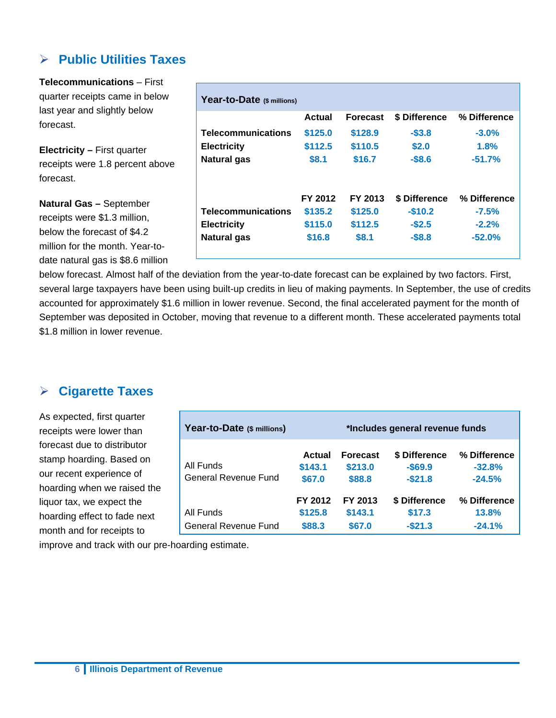#### **Public Utilities Taxes**

**Telecommunications** – First quarter receipts came in below last year and slightly below forecast.

**Electricity –** First quarter receipts were 1.8 percent above forecast.

**Natural Gas –** September receipts were \$1.3 million, below the forecast of \$4.2 million for the month. Year-todate natural gas is \$8.6 million

|                           | Actual  | <b>Forecast</b> | \$ Difference | % Difference |
|---------------------------|---------|-----------------|---------------|--------------|
| <b>Telecommunications</b> | \$125.0 | \$128.9         | $-$3.8$       | $-3.0\%$     |
| <b>Electricity</b>        | \$112.5 | \$110.5         | \$2.0         | 1.8%         |
| <b>Natural gas</b>        | \$8.1   | \$16.7          | $-$8.6$       | $-51.7%$     |
|                           | FY 2012 | FY 2013         | \$ Difference | % Difference |
| <b>Telecommunications</b> | \$135.2 | \$125.0         | $-$10.2$      | $-7.5%$      |
| <b>Electricity</b>        | \$115.0 | \$112.5         | $-$2.5$       | $-2.2%$      |
|                           |         |                 |               |              |

below forecast. Almost half of the deviation from the year-to-date forecast can be explained by two factors. First, several large taxpayers have been using built-up credits in lieu of making payments. In September, the use of credits accounted for approximately \$1.6 million in lower revenue. Second, the final accelerated payment for the month of September was deposited in October, moving that revenue to a different month. These accelerated payments total \$1.8 million in lower revenue.

#### **Cigarette Taxes**

As expected, first quarter receipts were lower than forecast due to distributor stamp hoarding. Based on our recent experience of hoarding when we raised the liquor tax, we expect the hoarding effect to fade next month and for receipts to

| Year-to-Date (\$ millions)        |                              |                                      | *Includes general revenue funds         |                                      |
|-----------------------------------|------------------------------|--------------------------------------|-----------------------------------------|--------------------------------------|
| All Funds<br>General Revenue Fund | Actual<br>\$143.1<br>\$67.0  | <b>Forecast</b><br>\$213.0<br>\$88.8 | \$ Difference<br>$-$ \$69.9<br>$-$21.8$ | % Difference<br>$-32.8%$<br>$-24.5%$ |
| All Funds<br>General Revenue Fund | FY 2012<br>\$125.8<br>\$88.3 | FY 2013<br>\$143.1<br>\$67.0         | \$ Difference<br>\$17.3<br>$-$21.3$     | % Difference<br>13.8%<br>$-24.1%$    |

improve and track with our pre-hoarding estimate.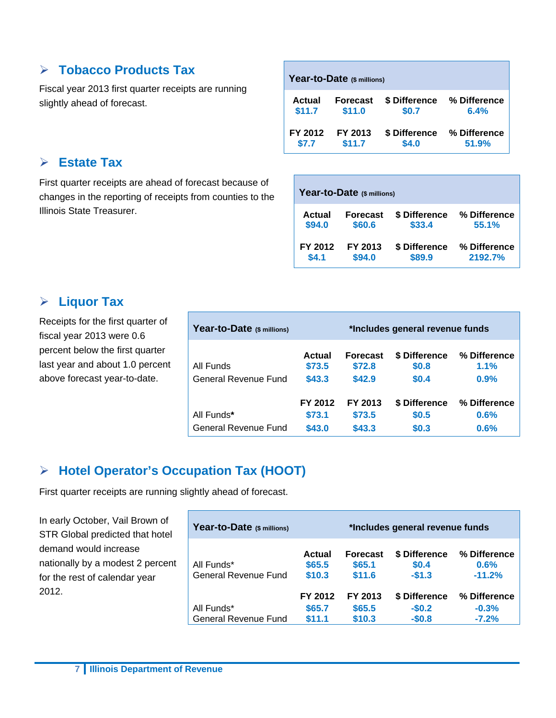#### **Tobacco Products Tax**

Fiscal year 2013 first quarter receipts are running slightly ahead of forecast.

#### **Estate Tax**

First quarter receipts are ahead of forecast because of changes in the reporting of receipts from counties to the Illinois State Treasurer.

| Year-to-Date (\$ millions) |                 |               |              |  |  |
|----------------------------|-----------------|---------------|--------------|--|--|
| Actual                     | <b>Forecast</b> | \$ Difference | % Difference |  |  |
| \$11.7                     | \$11.0          | \$0.7         | 6.4%         |  |  |
| FY 2012                    | FY 2013         | \$ Difference | % Difference |  |  |
| \$7.7                      | \$11.7          | \$4.0         | 51.9%        |  |  |

| Year-to-Date (\$ millions) |                 |               |              |  |  |  |
|----------------------------|-----------------|---------------|--------------|--|--|--|
| Actual                     | <b>Forecast</b> | \$ Difference | % Difference |  |  |  |
| \$94.0                     | \$60.6          | \$33.4        | 55.1%        |  |  |  |
| FY 2012                    | FY 2013         | \$ Difference | % Difference |  |  |  |
| \$4.1                      | \$94.0          | \$89.9        | 2192.7%      |  |  |  |

#### **Liquor Tax**

Receipts for the first quarter of fiscal year 2013 were 0.6 percent below the first quarter last year and about 1.0 percent above forecast year-to-date.

| Year-to-Date (\$ millions)<br>*Includes general revenue funds |                   |                           |                        |                      |
|---------------------------------------------------------------|-------------------|---------------------------|------------------------|----------------------|
| All Funds                                                     | Actual<br>\$73.5  | <b>Forecast</b><br>\$72.8 | \$ Difference<br>\$0.8 | % Difference<br>1.1% |
| General Revenue Fund                                          | \$43.3            | \$42.9                    | \$0.4                  | 0.9%                 |
| All Funds*                                                    | FY 2012<br>\$73.1 | FY 2013<br>\$73.5         | \$ Difference<br>\$0.5 | % Difference<br>0.6% |
| General Revenue Fund                                          | \$43.0            | \$43.3                    | \$0.3                  | 0.6%                 |

#### **Hotel Operator's Occupation Tax (HOOT)**

First quarter receipts are running slightly ahead of forecast.

In early October, Vail Brown of STR Global predicted that hotel demand would increase nationally by a modest 2 percent for the rest of calendar year 2012.

| Year-to-Date (\$ millions)         |                            |                                     | *Includes general revenue funds   |                                     |
|------------------------------------|----------------------------|-------------------------------------|-----------------------------------|-------------------------------------|
| All Funds*<br>General Revenue Fund | Actual<br>\$65.5<br>\$10.3 | <b>Forecast</b><br>\$65.1<br>\$11.6 | \$ Difference<br>\$0.4<br>$-$1.3$ | % Difference<br>$0.6\%$<br>$-11.2%$ |
|                                    | FY 2012                    | FY 2013                             | \$ Difference                     | % Difference                        |
| All Funds*                         | \$65.7                     | \$65.5                              | $-$0.2$                           | $-0.3%$                             |
| <b>General Revenue Fund</b>        | \$11.1                     | \$10.3                              | $-$0.8$                           | $-7.2%$                             |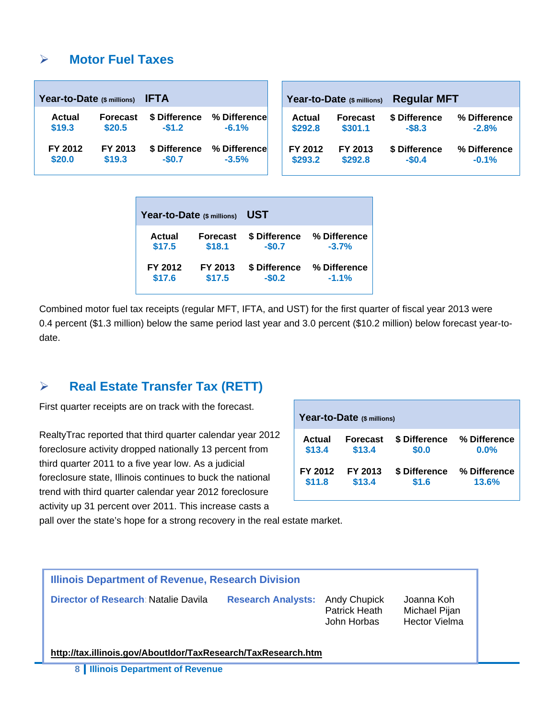#### **Motor Fuel Taxes**

| <b>IFTA</b><br>Year-to-Date (\$ millions) |                 |               |              | <b>Regular MFT</b><br>Year-to-Date (\$ millions) |                 |               |              |  |  |
|-------------------------------------------|-----------------|---------------|--------------|--------------------------------------------------|-----------------|---------------|--------------|--|--|
| <b>Actual</b>                             | <b>Forecast</b> | \$ Difference | % Difference | Actual                                           | <b>Forecast</b> | \$ Difference | % Difference |  |  |
| \$19.3                                    | \$20.5          | $-51.2$       | $-6.1%$      | \$292.8                                          | \$301.1         | $-$8.3$       | $-2.8%$      |  |  |
| FY 2012                                   | FY 2013         | \$ Difference | % Difference | FY 2012                                          | FY 2013         | \$ Difference | % Difference |  |  |
| \$20.0                                    | \$19.3          | $-$0.7$       | $-3.5%$      | \$293.2                                          | \$292.8         | $-$0.4$       | $-0.1%$      |  |  |

| Year-to-Date (\$ millions) |                 | UST           |              |  |  |  |  |  |
|----------------------------|-----------------|---------------|--------------|--|--|--|--|--|
| Actual                     | <b>Forecast</b> | \$ Difference | % Difference |  |  |  |  |  |
| \$17.5                     | \$18.1          | $-$0.7$       | $-3.7%$      |  |  |  |  |  |
| FY 2012                    | FY 2013         | \$ Difference | % Difference |  |  |  |  |  |
| \$17.6                     | \$17.5          | $-$0.2$       | $-1.1%$      |  |  |  |  |  |

Combined motor fuel tax receipts (regular MFT, IFTA, and UST) for the first quarter of fiscal year 2013 were 0.4 percent (\$1.3 million) below the same period last year and 3.0 percent (\$10.2 million) below forecast year-todate.

#### **Real Estate Transfer Tax (RETT)**

First quarter receipts are on track with the forecast.

RealtyTrac reported that third quarter calendar year 2012 foreclosure activity dropped nationally 13 percent from third quarter 2011 to a five year low. As a judicial foreclosure state, Illinois continues to buck the national trend with third quarter calendar year 2012 foreclosure activity up 31 percent over 2011. This increase casts a

| Year-to-Date (\$ millions) |                 |               |              |  |  |  |  |  |  |  |
|----------------------------|-----------------|---------------|--------------|--|--|--|--|--|--|--|
| Actual                     | <b>Forecast</b> | \$ Difference | % Difference |  |  |  |  |  |  |  |
| \$13.4                     | \$13.4          | \$0.0         | $0.0\%$      |  |  |  |  |  |  |  |
| FY 2012                    | FY 2013         | \$ Difference | % Difference |  |  |  |  |  |  |  |
| \$11.8                     | \$13.4          | \$1.6         | 13.6%        |  |  |  |  |  |  |  |

pall over the state's hope for a strong recovery in the real estate market.

| Illinois Department of Revenue, Research Division             |                           |                                              |                                                     |  |  |  |  |  |  |  |
|---------------------------------------------------------------|---------------------------|----------------------------------------------|-----------------------------------------------------|--|--|--|--|--|--|--|
| Director of Research: Natalie Davila                          | <b>Research Analysts:</b> | Andy Chupick<br>Patrick Heath<br>John Horbas | Joanna Koh<br>Michael Pijan<br><b>Hector Vielma</b> |  |  |  |  |  |  |  |
| http://tax.illinois.gov/AboutIdor/TaxResearch/TaxResearch.htm |                           |                                              |                                                     |  |  |  |  |  |  |  |

**8 Illinois Department of Revenue**